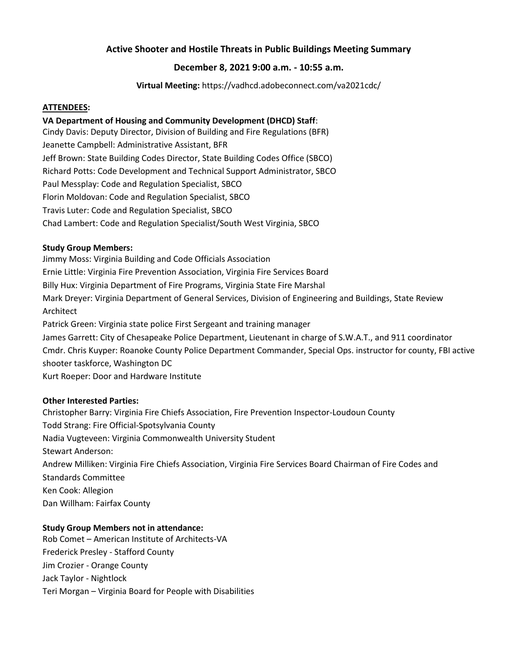# **Active Shooter and Hostile Threats in Public Buildings Meeting Summary**

# **December 8, 2021 9:00 a.m. - 10:55 a.m.**

**Virtual Meeting:** https://vadhcd.adobeconnect.com/va2021cdc/

#### **ATTENDEES:**

#### **VA Department of Housing and Community Development (DHCD) Staff**:

Cindy Davis: Deputy Director, Division of Building and Fire Regulations (BFR) Jeanette Campbell: Administrative Assistant, BFR Jeff Brown: State Building Codes Director, State Building Codes Office (SBCO) Richard Potts: Code Development and Technical Support Administrator, SBCO Paul Messplay: Code and Regulation Specialist, SBCO Florin Moldovan: Code and Regulation Specialist, SBCO Travis Luter: Code and Regulation Specialist, SBCO Chad Lambert: Code and Regulation Specialist/South West Virginia, SBCO

#### **Study Group Members:**

Jimmy Moss: Virginia Building and Code Officials Association Ernie Little: Virginia Fire Prevention Association, Virginia Fire Services Board Billy Hux: Virginia Department of Fire Programs, Virginia State Fire Marshal Mark Dreyer: Virginia Department of General Services, Division of Engineering and Buildings, State Review Architect Patrick Green: Virginia state police First Sergeant and training manager James Garrett: City of Chesapeake Police Department, Lieutenant in charge of S.W.A.T., and 911 coordinator Cmdr. Chris Kuyper: Roanoke County Police Department Commander, Special Ops. instructor for county, FBI active shooter taskforce, Washington DC Kurt Roeper: Door and Hardware Institute

#### **Other Interested Parties:**

Christopher Barry: Virginia Fire Chiefs Association, Fire Prevention Inspector-Loudoun County Todd Strang: Fire Official-Spotsylvania County Nadia Vugteveen: Virginia Commonwealth University Student Stewart Anderson: Andrew Milliken: Virginia Fire Chiefs Association, Virginia Fire Services Board Chairman of Fire Codes and Standards Committee Ken Cook: Allegion Dan Willham: Fairfax County

#### **Study Group Members not in attendance:**

Rob Comet – American Institute of Architects-VA Frederick Presley - Stafford County Jim Crozier - Orange County Jack Taylor - Nightlock Teri Morgan – Virginia Board for People with Disabilities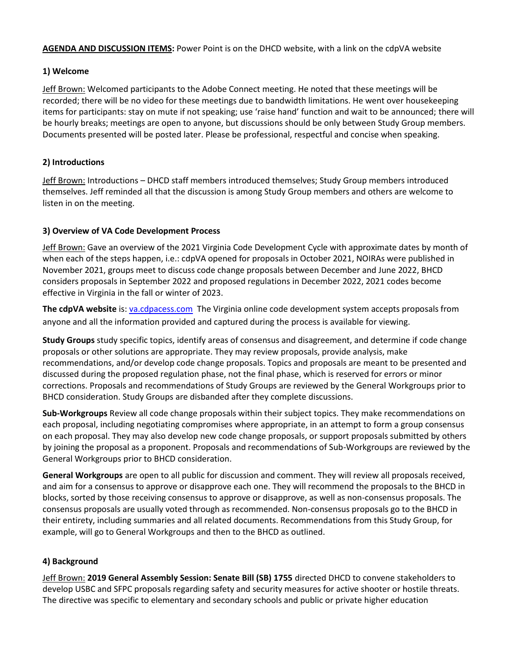**AGENDA AND DISCUSSION ITEMS:** Power Point is on the DHCD website, with a link on the cdpVA website

#### **1) Welcome**

Jeff Brown: Welcomed participants to the Adobe Connect meeting. He noted that these meetings will be recorded; there will be no video for these meetings due to bandwidth limitations. He went over housekeeping items for participants: stay on mute if not speaking; use 'raise hand' function and wait to be announced; there will be hourly breaks; meetings are open to anyone, but discussions should be only between Study Group members. Documents presented will be posted later. Please be professional, respectful and concise when speaking.

# **2) Introductions**

Jeff Brown: Introductions – DHCD staff members introduced themselves; Study Group members introduced themselves. Jeff reminded all that the discussion is among Study Group members and others are welcome to listen in on the meeting.

# **3) Overview of VA Code Development Process**

Jeff Brown: Gave an overview of the 2021 Virginia Code Development Cycle with approximate dates by month of when each of the steps happen, i.e.: cdpVA opened for proposals in October 2021, NOIRAs were published in November 2021, groups meet to discuss code change proposals between December and June 2022, BHCD considers proposals in September 2022 and proposed regulations in December 2022, 2021 codes become effective in Virginia in the fall or winter of 2023.

**The cdpVA website** is[: va.cdpacess.com](https://va.cdpaccess.com/) The Virginia online code development system accepts proposals from anyone and all the information provided and captured during the process is available for viewing.

**Study Groups** study specific topics, identify areas of consensus and disagreement, and determine if code change proposals or other solutions are appropriate. They may review proposals, provide analysis, make recommendations, and/or develop code change proposals. Topics and proposals are meant to be presented and discussed during the proposed regulation phase, not the final phase, which is reserved for errors or minor corrections. Proposals and recommendations of Study Groups are reviewed by the General Workgroups prior to BHCD consideration. Study Groups are disbanded after they complete discussions.

**Sub-Workgroups** Review all code change proposals within their subject topics. They make recommendations on each proposal, including negotiating compromises where appropriate, in an attempt to form a group consensus on each proposal. They may also develop new code change proposals, or support proposals submitted by others by joining the proposal as a proponent. Proposals and recommendations of Sub-Workgroups are reviewed by the General Workgroups prior to BHCD consideration.

**General Workgroups** are open to all public for discussion and comment. They will review all proposals received, and aim for a consensus to approve or disapprove each one. They will recommend the proposals to the BHCD in blocks, sorted by those receiving consensus to approve or disapprove, as well as non-consensus proposals. The consensus proposals are usually voted through as recommended. Non-consensus proposals go to the BHCD in their entirety, including summaries and all related documents. Recommendations from this Study Group, for example, will go to General Workgroups and then to the BHCD as outlined.

# **4) Background**

Jeff Brown: **2019 General Assembly Session: Senate Bill (SB) 1755** directed DHCD to convene stakeholders to develop USBC and SFPC proposals regarding safety and security measures for active shooter or hostile threats. The directive was specific to elementary and secondary schools and public or private higher education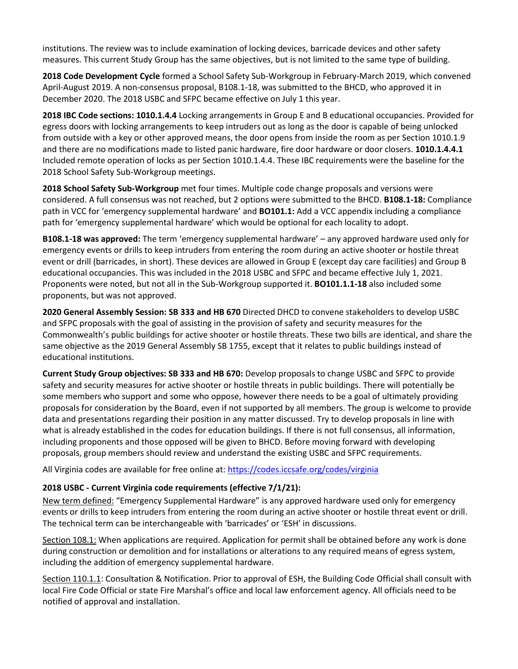institutions. The review was to include examination of locking devices, barricade devices and other safety measures. This current Study Group has the same objectives, but is not limited to the same type of building.

**2018 Code Development Cycle** formed a School Safety Sub-Workgroup in February-March 2019, which convened April-August 2019. A non-consensus proposal, B108.1-18, was submitted to the BHCD, who approved it in December 2020. The 2018 USBC and SFPC became effective on July 1 this year.

**2018 IBC Code sections: 1010.1.4.4** Locking arrangements in Group E and B educational occupancies. Provided for egress doors with locking arrangements to keep intruders out as long as the door is capable of being unlocked from outside with a key or other approved means, the door opens from inside the room as per Section 1010.1.9 and there are no modifications made to listed panic hardware, fire door hardware or door closers. **1010.1.4.4.1** Included remote operation of locks as per Section 1010.1.4.4. These IBC requirements were the baseline for the 2018 School Safety Sub-Workgroup meetings.

**2018 School Safety Sub-Workgroup** met four times. Multiple code change proposals and versions were considered. A full consensus was not reached, but 2 options were submitted to the BHCD. **B108.1-18:** Compliance path in VCC for 'emergency supplemental hardware' and **BO101.1:** Add a VCC appendix including a compliance path for 'emergency supplemental hardware' which would be optional for each locality to adopt.

**B108.1-18 was approved:** The term 'emergency supplemental hardware' – any approved hardware used only for emergency events or drills to keep intruders from entering the room during an active shooter or hostile threat event or drill (barricades, in short). These devices are allowed in Group E (except day care facilities) and Group B educational occupancies. This was included in the 2018 USBC and SFPC and became effective July 1, 2021. Proponents were noted, but not all in the Sub-Workgroup supported it. **BO101.1.1-18** also included some proponents, but was not approved.

**2020 General Assembly Session: SB 333 and HB 670** Directed DHCD to convene stakeholders to develop USBC and SFPC proposals with the goal of assisting in the provision of safety and security measures for the Commonwealth's public buildings for active shooter or hostile threats. These two bills are identical, and share the same objective as the 2019 General Assembly SB 1755, except that it relates to public buildings instead of educational institutions.

**Current Study Group objectives: SB 333 and HB 670:** Develop proposals to change USBC and SFPC to provide safety and security measures for active shooter or hostile threats in public buildings. There will potentially be some members who support and some who oppose, however there needs to be a goal of ultimately providing proposals for consideration by the Board, even if not supported by all members. The group is welcome to provide data and presentations regarding their position in any matter discussed. Try to develop proposals in line with what is already established in the codes for education buildings. If there is not full consensus, all information, including proponents and those opposed will be given to BHCD. Before moving forward with developing proposals, group members should review and understand the existing USBC and SFPC requirements.

All Virginia codes are available for free online at:<https://codes.iccsafe.org/codes/virginia>

# **2018 USBC - Current Virginia code requirements (effective 7/1/21):**

New term defined: "Emergency Supplemental Hardware" is any approved hardware used only for emergency events or drills to keep intruders from entering the room during an active shooter or hostile threat event or drill. The technical term can be interchangeable with 'barricades' or 'ESH' in discussions.

Section 108.1: When applications are required. Application for permit shall be obtained before any work is done during construction or demolition and for installations or alterations to any required means of egress system, including the addition of emergency supplemental hardware.

Section 110.1.1: Consultation & Notification. Prior to approval of ESH, the Building Code Official shall consult with local Fire Code Official or state Fire Marshal's office and local law enforcement agency. All officials need to be notified of approval and installation.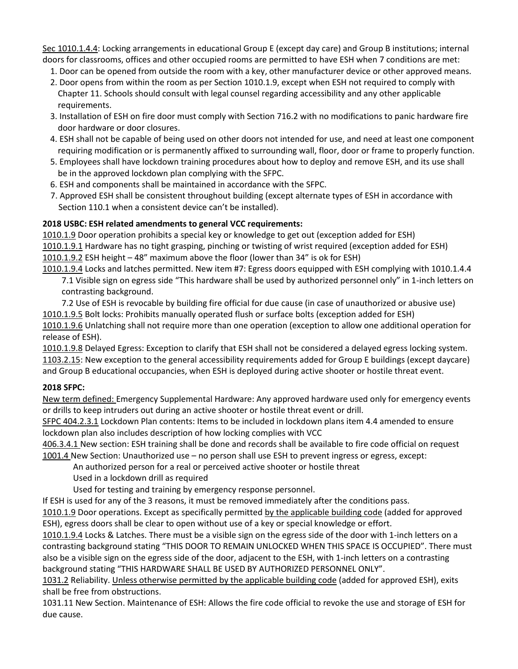Sec 1010.1.4.4: Locking arrangements in educational Group E (except day care) and Group B institutions; internal doors for classrooms, offices and other occupied rooms are permitted to have ESH when 7 conditions are met:

- 1. Door can be opened from outside the room with a key, other manufacturer device or other approved means.
- 2. Door opens from within the room as per Section 1010.1.9, except when ESH not required to comply with Chapter 11. Schools should consult with legal counsel regarding accessibility and any other applicable requirements.
- 3. Installation of ESH on fire door must comply with Section 716.2 with no modifications to panic hardware fire door hardware or door closures.
- 4. ESH shall not be capable of being used on other doors not intended for use, and need at least one component requiring modification or is permanently affixed to surrounding wall, floor, door or frame to properly function.
- 5. Employees shall have lockdown training procedures about how to deploy and remove ESH, and its use shall be in the approved lockdown plan complying with the SFPC.
- 6. ESH and components shall be maintained in accordance with the SFPC.
- 7. Approved ESH shall be consistent throughout building (except alternate types of ESH in accordance with Section 110.1 when a consistent device can't be installed).

# **2018 USBC: ESH related amendments to general VCC requirements:**

1010.1.9 Door operation prohibits a special key or knowledge to get out (exception added for ESH) 1010.1.9.1 Hardware has no tight grasping, pinching or twisting of wrist required (exception added for ESH) 1010.1.9.2 ESH height – 48" maximum above the floor (lower than 34" is ok for ESH)

1010.1.9.4 Locks and latches permitted. New item #7: Egress doors equipped with ESH complying with 1010.1.4.4 7.1 Visible sign on egress side "This hardware shall be used by authorized personnel only" in 1-inch letters on

contrasting background.

7.2 Use of ESH is revocable by building fire official for due cause (in case of unauthorized or abusive use) 1010.1.9.5 Bolt locks: Prohibits manually operated flush or surface bolts (exception added for ESH) 1010.1.9.6 Unlatching shall not require more than one operation (exception to allow one additional operation for

release of ESH). 1010.1.9.8 Delayed Egress: Exception to clarify that ESH shall not be considered a delayed egress locking system.

1103.2.15: New exception to the general accessibility requirements added for Group E buildings (except daycare) and Group B educational occupancies, when ESH is deployed during active shooter or hostile threat event.

#### **2018 SFPC:**

New term defined: Emergency Supplemental Hardware: Any approved hardware used only for emergency events or drills to keep intruders out during an active shooter or hostile threat event or drill.

SFPC 404.2.3.1 Lockdown Plan contents: Items to be included in lockdown plans item 4.4 amended to ensure lockdown plan also includes description of how locking complies with VCC

406.3.4.1 New section: ESH training shall be done and records shall be available to fire code official on request 1001.4 New Section: Unauthorized use – no person shall use ESH to prevent ingress or egress, except:

An authorized person for a real or perceived active shooter or hostile threat

Used in a lockdown drill as required

Used for testing and training by emergency response personnel.

If ESH is used for any of the 3 reasons, it must be removed immediately after the conditions pass.

1010.1.9 Door operations. Except as specifically permitted by the applicable building code (added for approved ESH), egress doors shall be clear to open without use of a key or special knowledge or effort.

1010.1.9.4 Locks & Latches. There must be a visible sign on the egress side of the door with 1-inch letters on a contrasting background stating "THIS DOOR TO REMAIN UNLOCKED WHEN THIS SPACE IS OCCUPIED". There must also be a visible sign on the egress side of the door, adjacent to the ESH, with 1-inch letters on a contrasting background stating "THIS HARDWARE SHALL BE USED BY AUTHORIZED PERSONNEL ONLY".

1031.2 Reliability. Unless otherwise permitted by the applicable building code (added for approved ESH), exits shall be free from obstructions.

1031.11 New Section. Maintenance of ESH: Allows the fire code official to revoke the use and storage of ESH for due cause.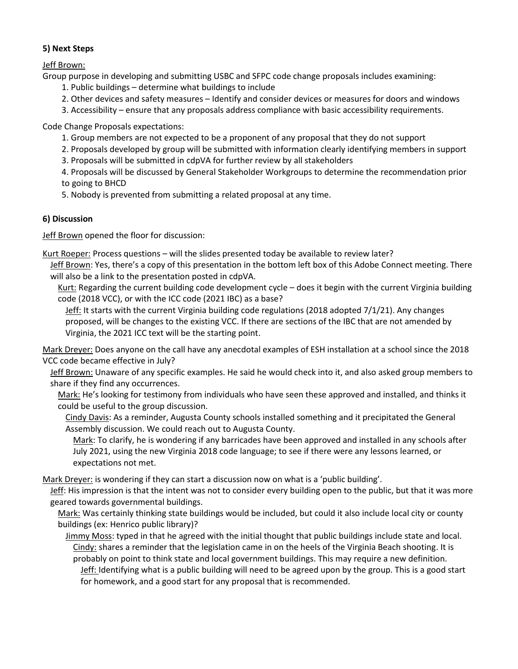# **5) Next Steps**

Jeff Brown:

Group purpose in developing and submitting USBC and SFPC code change proposals includes examining:

- 1. Public buildings determine what buildings to include
- 2. Other devices and safety measures Identify and consider devices or measures for doors and windows
- 3. Accessibility ensure that any proposals address compliance with basic accessibility requirements.

Code Change Proposals expectations:

- 1. Group members are not expected to be a proponent of any proposal that they do not support
- 2. Proposals developed by group will be submitted with information clearly identifying members in support
- 3. Proposals will be submitted in cdpVA for further review by all stakeholders

4. Proposals will be discussed by General Stakeholder Workgroups to determine the recommendation prior to going to BHCD

5. Nobody is prevented from submitting a related proposal at any time.

# **6) Discussion**

Jeff Brown opened the floor for discussion:

Kurt Roeper: Process questions – will the slides presented today be available to review later?

Jeff Brown: Yes, there's a copy of this presentation in the bottom left box of this Adobe Connect meeting. There will also be a link to the presentation posted in cdpVA.

Kurt: Regarding the current building code development cycle – does it begin with the current Virginia building code (2018 VCC), or with the ICC code (2021 IBC) as a base?

Jeff: It starts with the current Virginia building code regulations (2018 adopted 7/1/21). Any changes proposed, will be changes to the existing VCC. If there are sections of the IBC that are not amended by Virginia, the 2021 ICC text will be the starting point.

Mark Dreyer: Does anyone on the call have any anecdotal examples of ESH installation at a school since the 2018 VCC code became effective in July?

Jeff Brown: Unaware of any specific examples. He said he would check into it, and also asked group members to share if they find any occurrences.

Mark: He's looking for testimony from individuals who have seen these approved and installed, and thinks it could be useful to the group discussion.

Cindy Davis: As a reminder, Augusta County schools installed something and it precipitated the General Assembly discussion. We could reach out to Augusta County.

Mark: To clarify, he is wondering if any barricades have been approved and installed in any schools after July 2021, using the new Virginia 2018 code language; to see if there were any lessons learned, or expectations not met.

Mark Dreyer: is wondering if they can start a discussion now on what is a 'public building'.

Jeff: His impression is that the intent was not to consider every building open to the public, but that it was more geared towards governmental buildings.

Mark: Was certainly thinking state buildings would be included, but could it also include local city or county buildings (ex: Henrico public library)?

Jimmy Moss: typed in that he agreed with the initial thought that public buildings include state and local. Cindy: shares a reminder that the legislation came in on the heels of the Virginia Beach shooting. It is probably on point to think state and local government buildings. This may require a new definition. Jeff: Identifying what is a public building will need to be agreed upon by the group. This is a good start for homework, and a good start for any proposal that is recommended.